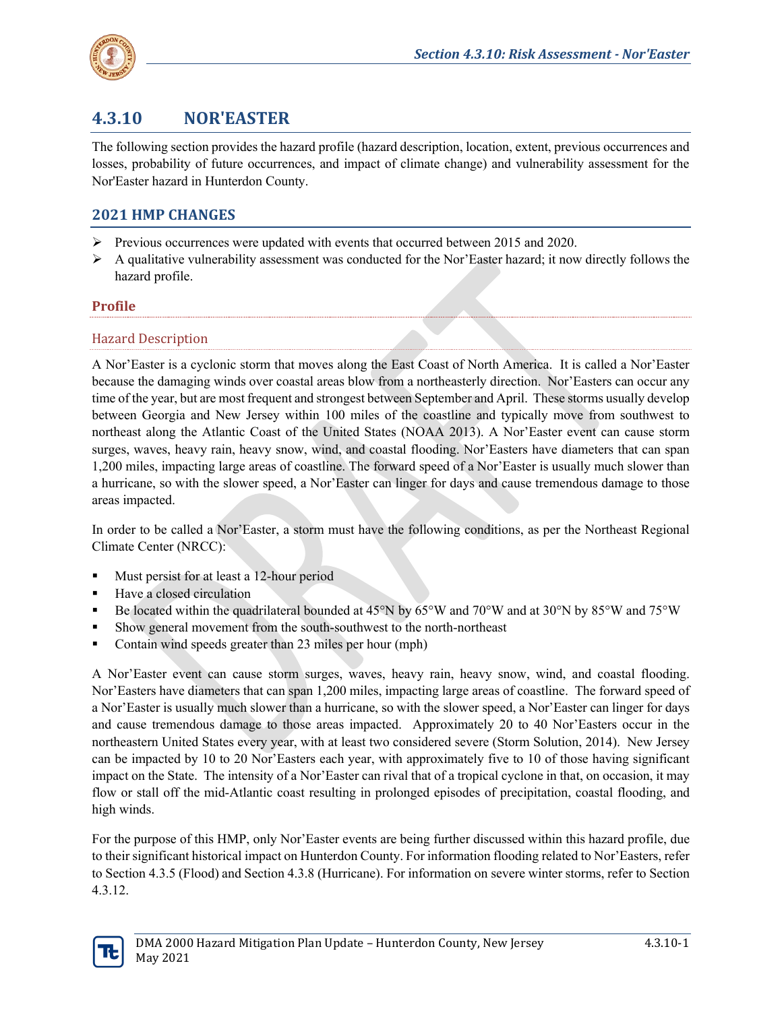

# **4.3.10 NOR'EASTER**

The following section provides the hazard profile (hazard description, location, extent, previous occurrences and losses, probability of future occurrences, and impact of climate change) and vulnerability assessment for the Nor'Easter hazard in Hunterdon County.

# **2021 HMP CHANGES**

- $\triangleright$  Previous occurrences were updated with events that occurred between 2015 and 2020.
- $\triangleright$  A qualitative vulnerability assessment was conducted for the Nor'Easter hazard; it now directly follows the hazard profile.

## **Profile**

## Hazard Description

A Nor'Easter is a cyclonic storm that moves along the East Coast of North America. It is called a Nor'Easter because the damaging winds over coastal areas blow from a northeasterly direction. Nor'Easters can occur any time of the year, but are most frequent and strongest between September and April. These storms usually develop between Georgia and New Jersey within 100 miles of the coastline and typically move from southwest to northeast along the Atlantic Coast of the United States (NOAA 2013). A Nor'Easter event can cause storm surges, waves, heavy rain, heavy snow, wind, and coastal flooding. Nor'Easters have diameters that can span 1,200 miles, impacting large areas of coastline. The forward speed of a Nor'Easter is usually much slower than a hurricane, so with the slower speed, a Nor'Easter can linger for days and cause tremendous damage to those areas impacted.

In order to be called a Nor'Easter, a storm must have the following conditions, as per the Northeast Regional Climate Center (NRCC):

- Must persist for at least a 12-hour period
- Have a closed circulation
- Be located within the quadrilateral bounded at 45°N by 65°W and 70°W and at 30°N by 85°W and 75°W
- Show general movement from the south-southwest to the north-northeast
- Contain wind speeds greater than 23 miles per hour (mph)

A Nor'Easter event can cause storm surges, waves, heavy rain, heavy snow, wind, and coastal flooding. Nor'Easters have diameters that can span 1,200 miles, impacting large areas of coastline. The forward speed of a Nor'Easter is usually much slower than a hurricane, so with the slower speed, a Nor'Easter can linger for days and cause tremendous damage to those areas impacted. Approximately 20 to 40 Nor'Easters occur in the northeastern United States every year, with at least two considered severe (Storm Solution, 2014). New Jersey can be impacted by 10 to 20 Nor'Easters each year, with approximately five to 10 of those having significant impact on the State. The intensity of a Nor'Easter can rival that of a tropical cyclone in that, on occasion, it may flow or stall off the mid-Atlantic coast resulting in prolonged episodes of precipitation, coastal flooding, and high winds.

For the purpose of this HMP, only Nor'Easter events are being further discussed within this hazard profile, due to their significant historical impact on Hunterdon County. For information flooding related to Nor'Easters, refer to Section 4.3.5 (Flood) and Section 4.3.8 (Hurricane). For information on severe winter storms, refer to Section 4.3.12.

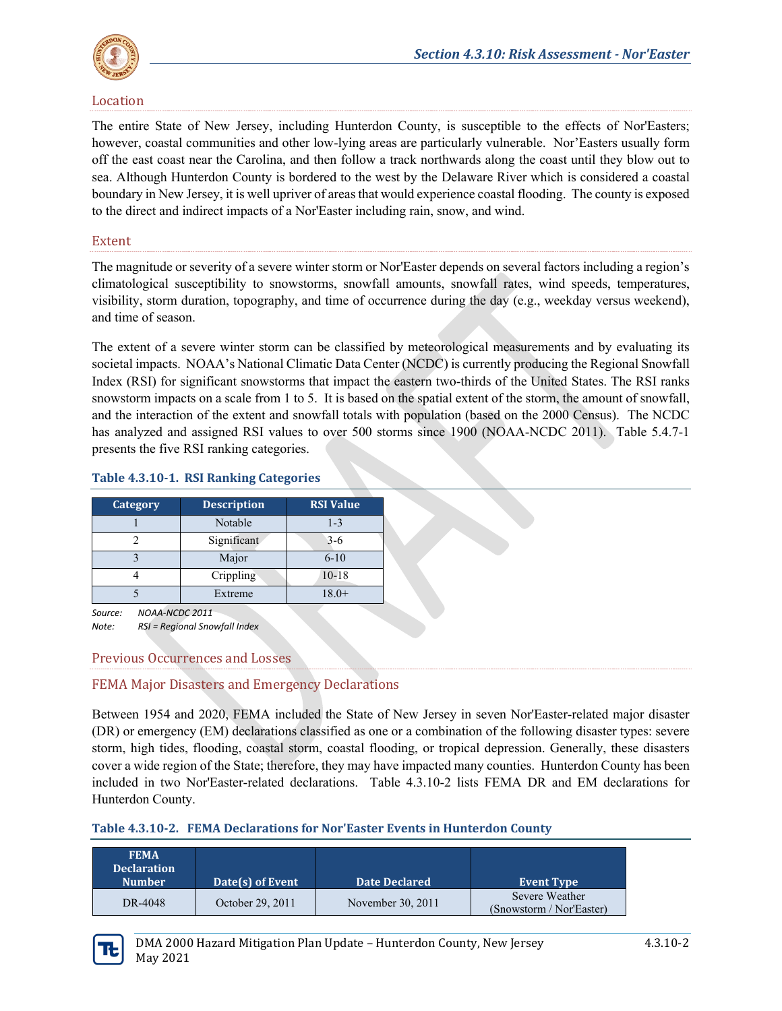

#### Location

The entire State of New Jersey, including Hunterdon County, is susceptible to the effects of Nor'Easters; however, coastal communities and other low-lying areas are particularly vulnerable. Nor'Easters usually form off the east coast near the Carolina, and then follow a track northwards along the coast until they blow out to sea. Although Hunterdon County is bordered to the west by the Delaware River which is considered a coastal boundary in New Jersey, it is well upriver of areas that would experience coastal flooding. The county is exposed to the direct and indirect impacts of a Nor'Easter including rain, snow, and wind.

#### Extent

The magnitude or severity of a severe winter storm or Nor'Easter depends on several factors including a region's climatological susceptibility to snowstorms, snowfall amounts, snowfall rates, wind speeds, temperatures, visibility, storm duration, topography, and time of occurrence during the day (e.g., weekday versus weekend), and time of season.

The extent of a severe winter storm can be classified by meteorological measurements and by evaluating its societal impacts. NOAA's National Climatic Data Center (NCDC) is currently producing the Regional Snowfall Index (RSI) for significant snowstorms that impact the eastern two-thirds of the United States. The RSI ranks snowstorm impacts on a scale from 1 to 5. It is based on the spatial extent of the storm, the amount of snowfall, and the interaction of the extent and snowfall totals with population (based on the 2000 Census). The NCDC has analyzed and assigned RSI values to over 500 storms since 1900 (NOAA-NCDC 2011). Table 5.4.7-1 presents the five RSI ranking categories.

| <b>Category</b> | <b>Description</b> | <b>RSI</b> Value |
|-----------------|--------------------|------------------|
|                 | Notable            | $1 - 3$          |
|                 | Significant        | $3-6$            |
|                 | Major              | $6 - 10$         |
|                 | Crippling          | $10 - 18$        |
|                 | Extreme            | $18.0+$          |
|                 |                    |                  |

#### **Table 4.3.10-1. RSI Ranking Categories**

*Source: NOAA-NCDC 2011 Note: RSI = Regional Snowfall Index*

# Previous Occurrences and Losses

# FEMA Major Disasters and Emergency Declarations

Between 1954 and 2020, FEMA included the State of New Jersey in seven Nor'Easter-related major disaster (DR) or emergency (EM) declarations classified as one or a combination of the following disaster types: severe storm, high tides, flooding, coastal storm, coastal flooding, or tropical depression. Generally, these disasters cover a wide region of the State; therefore, they may have impacted many counties. Hunterdon County has been included in two Nor'Easter-related declarations. [Table 4.3.10-2](#page-1-0) lists FEMA DR and EM declarations for Hunterdon County.

<span id="page-1-0"></span>

|  | Table 4.3.10-2. FEMA Declarations for Nor'Easter Events in Hunterdon County |  |
|--|-----------------------------------------------------------------------------|--|
|--|-----------------------------------------------------------------------------|--|

| <b>FEMA</b><br><b>Declaration</b><br><b>Number</b> | Date(s) of Event | <b>Date Declared</b> | <b>Event Type</b>                          |
|----------------------------------------------------|------------------|----------------------|--------------------------------------------|
| DR-4048                                            | October 29, 2011 | November 30, 2011    | Severe Weather<br>(Snowstorm / Nor'Easter) |

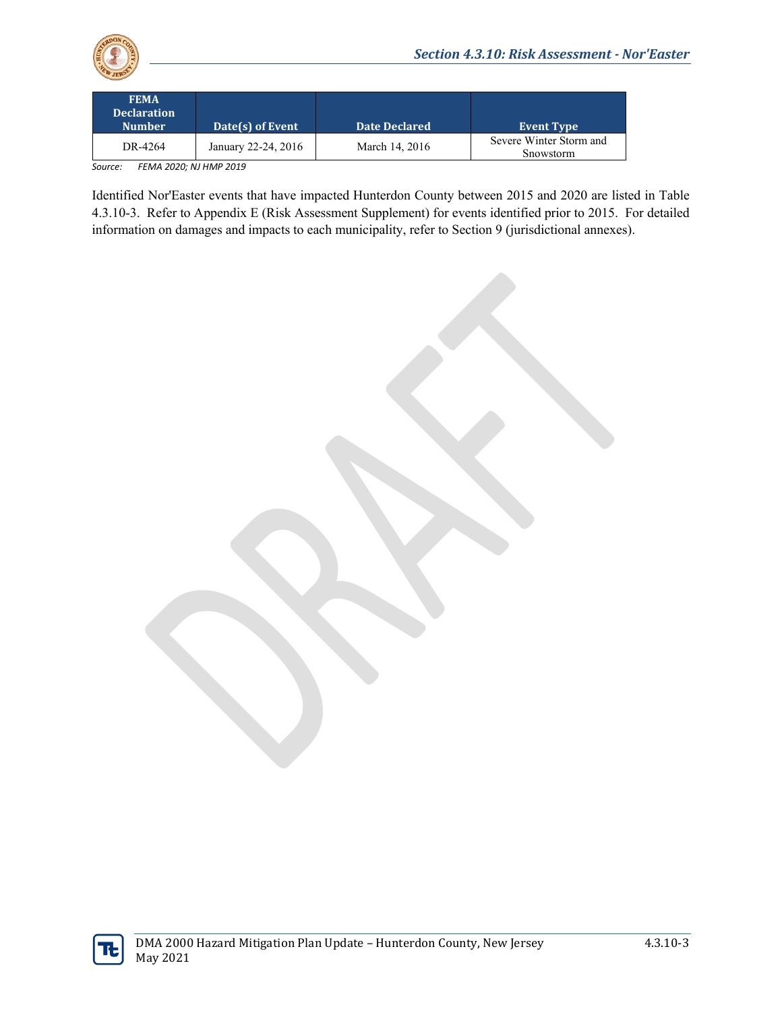

| <b>FEMA</b><br><b>Declaration</b><br><b>Number</b> | Date(s) of Event    | <b>Date Declared</b> | <b>Event Type</b>                    |
|----------------------------------------------------|---------------------|----------------------|--------------------------------------|
| DR-4264                                            | January 22-24, 2016 | March 14, 2016       | Severe Winter Storm and<br>Snowstorm |

*Source: FEMA 2020; NJ HMP 2019*

Identified Nor'Easter events that have impacted Hunterdon County between 2015 and 2020 are listed in [Table](#page-3-0)  [4.3.10-3.](#page-3-0) Refer to Appendix E (Risk Assessment Supplement) for events identified prior to 2015. For detailed information on damages and impacts to each municipality, refer to Section 9 (jurisdictional annexes).

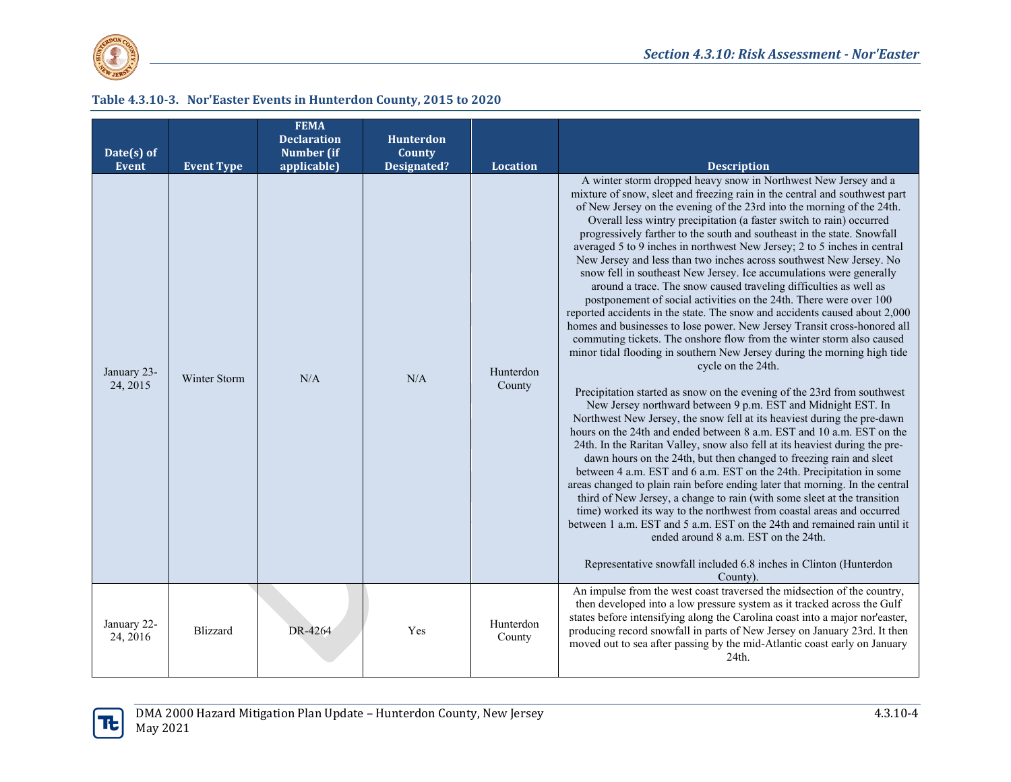

#### **Table 4.3.10-3. Nor'Easter Events in Hunterdon County, 2015 to 2020**

<span id="page-3-0"></span>

| Date(s) of<br><b>Event</b> | <b>Event Type</b> | <b>FEMA</b><br><b>Declaration</b><br><b>Number</b> (if<br>applicable) | Hunterdon<br>County<br><b>Designated?</b> | Location            | <b>Description</b>                                                                                                                                                                                                                                                                                                                                                                                                                                                                                                                                                                                                                                                                                                                                                                                                                                                                                                                                                                                                                                                                                                                                                                                                                                                                                                                                                                                                                                                                                                                                                                                                                                                                                                                                                                                                                                                                                                                                                                                                                                          |
|----------------------------|-------------------|-----------------------------------------------------------------------|-------------------------------------------|---------------------|-------------------------------------------------------------------------------------------------------------------------------------------------------------------------------------------------------------------------------------------------------------------------------------------------------------------------------------------------------------------------------------------------------------------------------------------------------------------------------------------------------------------------------------------------------------------------------------------------------------------------------------------------------------------------------------------------------------------------------------------------------------------------------------------------------------------------------------------------------------------------------------------------------------------------------------------------------------------------------------------------------------------------------------------------------------------------------------------------------------------------------------------------------------------------------------------------------------------------------------------------------------------------------------------------------------------------------------------------------------------------------------------------------------------------------------------------------------------------------------------------------------------------------------------------------------------------------------------------------------------------------------------------------------------------------------------------------------------------------------------------------------------------------------------------------------------------------------------------------------------------------------------------------------------------------------------------------------------------------------------------------------------------------------------------------------|
| January 23-<br>24, 2015    | Winter Storm      | N/A                                                                   | N/A                                       | Hunterdon<br>County | A winter storm dropped heavy snow in Northwest New Jersey and a<br>mixture of snow, sleet and freezing rain in the central and southwest part<br>of New Jersey on the evening of the 23rd into the morning of the 24th.<br>Overall less wintry precipitation (a faster switch to rain) occurred<br>progressively farther to the south and southeast in the state. Snowfall<br>averaged 5 to 9 inches in northwest New Jersey; 2 to 5 inches in central<br>New Jersey and less than two inches across southwest New Jersey. No<br>snow fell in southeast New Jersey. Ice accumulations were generally<br>around a trace. The snow caused traveling difficulties as well as<br>postponement of social activities on the 24th. There were over 100<br>reported accidents in the state. The snow and accidents caused about 2,000<br>homes and businesses to lose power. New Jersey Transit cross-honored all<br>commuting tickets. The onshore flow from the winter storm also caused<br>minor tidal flooding in southern New Jersey during the morning high tide<br>cycle on the 24th.<br>Precipitation started as snow on the evening of the 23rd from southwest<br>New Jersey northward between 9 p.m. EST and Midnight EST. In<br>Northwest New Jersey, the snow fell at its heaviest during the pre-dawn<br>hours on the 24th and ended between 8 a.m. EST and 10 a.m. EST on the<br>24th. In the Raritan Valley, snow also fell at its heaviest during the pre-<br>dawn hours on the 24th, but then changed to freezing rain and sleet<br>between 4 a.m. EST and 6 a.m. EST on the 24th. Precipitation in some<br>areas changed to plain rain before ending later that morning. In the central<br>third of New Jersey, a change to rain (with some sleet at the transition<br>time) worked its way to the northwest from coastal areas and occurred<br>between 1 a.m. EST and 5 a.m. EST on the 24th and remained rain until it<br>ended around 8 a.m. EST on the 24th.<br>Representative snowfall included 6.8 inches in Clinton (Hunterdon<br>County). |
| January 22-<br>24, 2016    | <b>Blizzard</b>   | DR-4264                                                               | Yes                                       | Hunterdon<br>County | An impulse from the west coast traversed the midsection of the country,<br>then developed into a low pressure system as it tracked across the Gulf<br>states before intensifying along the Carolina coast into a major nor easter,<br>producing record snowfall in parts of New Jersey on January 23rd. It then<br>moved out to sea after passing by the mid-Atlantic coast early on January<br>24th.                                                                                                                                                                                                                                                                                                                                                                                                                                                                                                                                                                                                                                                                                                                                                                                                                                                                                                                                                                                                                                                                                                                                                                                                                                                                                                                                                                                                                                                                                                                                                                                                                                                       |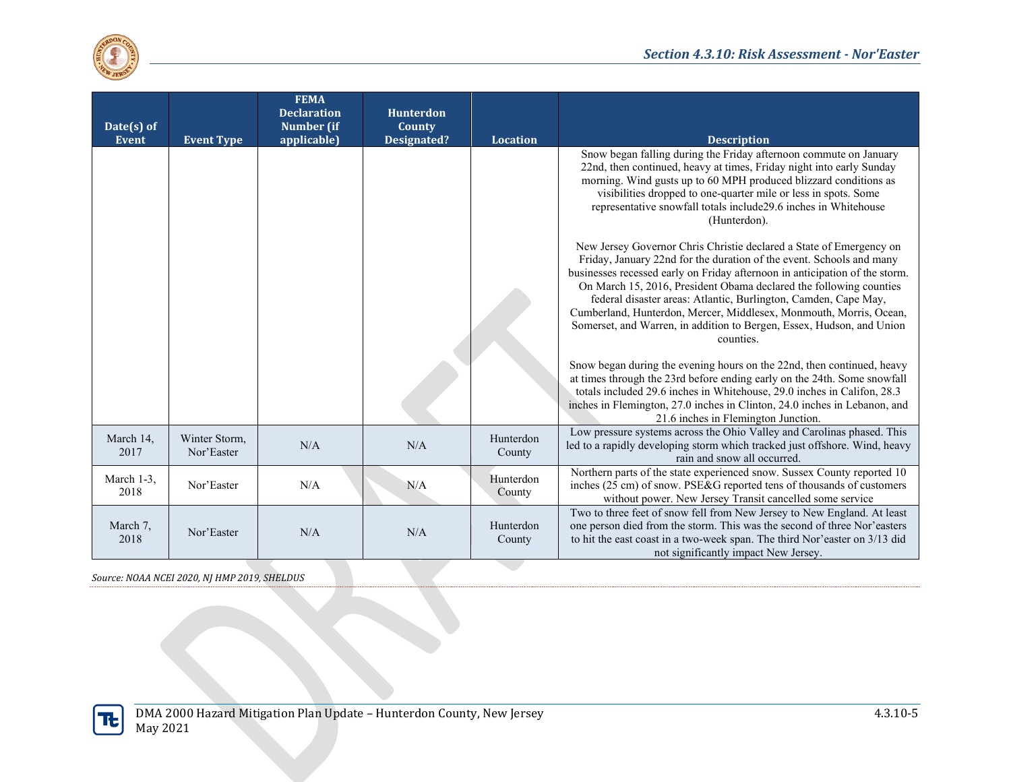

| Date(s) of<br><b>Event</b> |                             | <b>FEMA</b><br><b>Declaration</b><br>Number (if | <b>Hunterdon</b><br><b>County</b> | <b>Location</b>     |                                                                                                                                                                                                                                                                                                                                                                                                                                                                                                                                 |
|----------------------------|-----------------------------|-------------------------------------------------|-----------------------------------|---------------------|---------------------------------------------------------------------------------------------------------------------------------------------------------------------------------------------------------------------------------------------------------------------------------------------------------------------------------------------------------------------------------------------------------------------------------------------------------------------------------------------------------------------------------|
|                            | <b>Event Type</b>           | applicable)                                     | Designated?                       |                     | <b>Description</b><br>Snow began falling during the Friday afternoon commute on January<br>22nd, then continued, heavy at times, Friday night into early Sunday<br>morning. Wind gusts up to 60 MPH produced blizzard conditions as<br>visibilities dropped to one-quarter mile or less in spots. Some<br>representative snowfall totals include29.6 inches in Whitehouse<br>(Hunterdon).                                                                                                                                       |
|                            |                             |                                                 |                                   |                     | New Jersey Governor Chris Christie declared a State of Emergency on<br>Friday, January 22nd for the duration of the event. Schools and many<br>businesses recessed early on Friday afternoon in anticipation of the storm.<br>On March 15, 2016, President Obama declared the following counties<br>federal disaster areas: Atlantic, Burlington, Camden, Cape May,<br>Cumberland, Hunterdon, Mercer, Middlesex, Monmouth, Morris, Ocean,<br>Somerset, and Warren, in addition to Bergen, Essex, Hudson, and Union<br>counties. |
|                            |                             |                                                 |                                   |                     | Snow began during the evening hours on the 22nd, then continued, heavy<br>at times through the 23rd before ending early on the 24th. Some snowfall<br>totals included 29.6 inches in Whitehouse, 29.0 inches in Califon, 28.3<br>inches in Flemington, 27.0 inches in Clinton, 24.0 inches in Lebanon, and<br>21.6 inches in Flemington Junction.                                                                                                                                                                               |
| March 14,<br>2017          | Winter Storm,<br>Nor'Easter | N/A                                             | N/A                               | Hunterdon<br>County | Low pressure systems across the Ohio Valley and Carolinas phased. This<br>led to a rapidly developing storm which tracked just offshore. Wind, heavy<br>rain and snow all occurred.                                                                                                                                                                                                                                                                                                                                             |
| March 1-3,<br>2018         | Nor'Easter                  | N/A                                             | N/A                               | Hunterdon<br>County | Northern parts of the state experienced snow. Sussex County reported 10<br>inches (25 cm) of snow. PSE&G reported tens of thousands of customers<br>without power. New Jersey Transit cancelled some service                                                                                                                                                                                                                                                                                                                    |
| March 7,<br>2018           | Nor'Easter                  | N/A                                             | N/A                               | Hunterdon<br>County | Two to three feet of snow fell from New Jersey to New England. At least<br>one person died from the storm. This was the second of three Nor'easters<br>to hit the east coast in a two-week span. The third Nor'easter on 3/13 did<br>not significantly impact New Jersey.                                                                                                                                                                                                                                                       |

*Source: NOAA NCEI 2020, NJ HMP 2019, SHELDUS*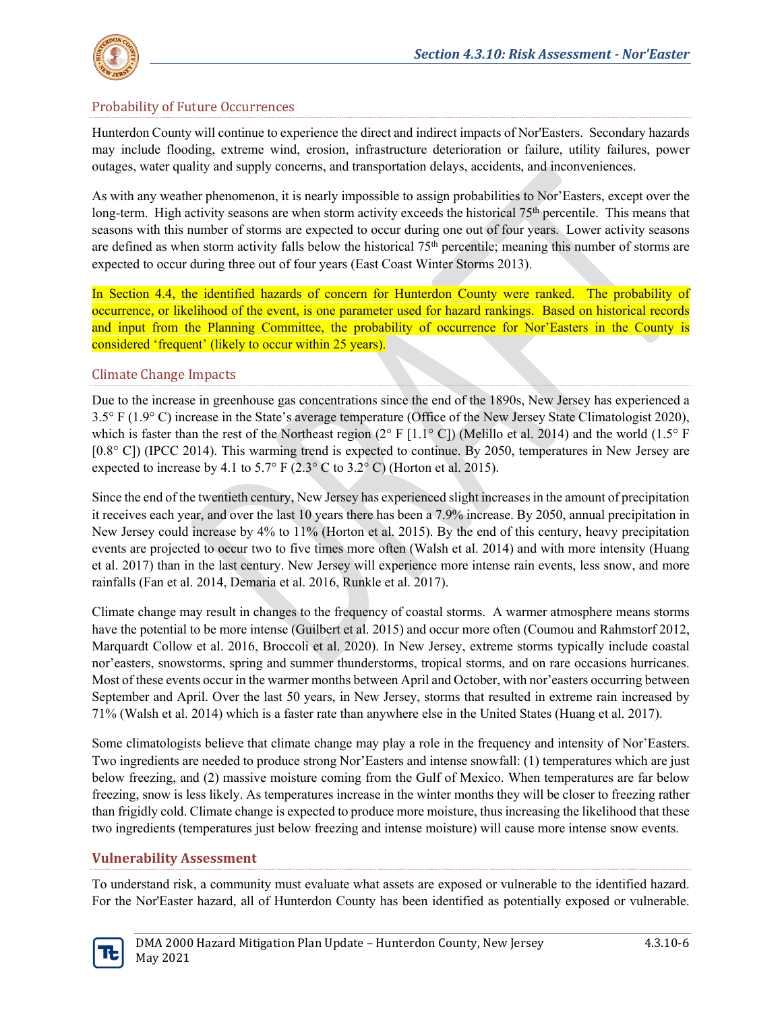

# Probability of Future Occurrences

Hunterdon County will continue to experience the direct and indirect impacts of Nor'Easters. Secondary hazards may include flooding, extreme wind, erosion, infrastructure deterioration or failure, utility failures, power outages, water quality and supply concerns, and transportation delays, accidents, and inconveniences.

As with any weather phenomenon, it is nearly impossible to assign probabilities to Nor'Easters, except over the long-term. High activity seasons are when storm activity exceeds the historical 75th percentile. This means that seasons with this number of storms are expected to occur during one out of four years. Lower activity seasons are defined as when storm activity falls below the historical  $75<sup>th</sup>$  percentile; meaning this number of storms are expected to occur during three out of four years (East Coast Winter Storms 2013).

In Section 4.4, the identified hazards of concern for Hunterdon County were ranked. The probability of occurrence, or likelihood of the event, is one parameter used for hazard rankings. Based on historical records and input from the Planning Committee, the probability of occurrence for Nor'Easters in the County is considered 'frequent' (likely to occur within 25 years).

#### Climate Change Impacts

Due to the increase in greenhouse gas concentrations since the end of the 1890s, New Jersey has experienced a 3.5° F (1.9° C) increase in the State's average temperature (Office of the New Jersey State Climatologist 2020), which is faster than the rest of the Northeast region  $(2^{\circ} F [1.1^{\circ} C])$  (Melillo et al. 2014) and the world  $(1.5^{\circ} F)$ [0.8° C]) (IPCC 2014). This warming trend is expected to continue. By 2050, temperatures in New Jersey are expected to increase by 4.1 to 5.7° F (2.3° C to 3.2° C) (Horton et al. 2015).

Since the end of the twentieth century, New Jersey has experienced slight increases in the amount of precipitation it receives each year, and over the last 10 years there has been a 7.9% increase. By 2050, annual precipitation in New Jersey could increase by 4% to 11% (Horton et al. 2015). By the end of this century, heavy precipitation events are projected to occur two to five times more often (Walsh et al. 2014) and with more intensity (Huang et al. 2017) than in the last century. New Jersey will experience more intense rain events, less snow, and more rainfalls (Fan et al. 2014, Demaria et al. 2016, Runkle et al. 2017).

Climate change may result in changes to the frequency of coastal storms. A warmer atmosphere means storms have the potential to be more intense (Guilbert et al. 2015) and occur more often (Coumou and Rahmstorf 2012, Marquardt Collow et al. 2016, Broccoli et al. 2020). In New Jersey, extreme storms typically include coastal nor'easters, snowstorms, spring and summer thunderstorms, tropical storms, and on rare occasions hurricanes. Most of these events occur in the warmer months between April and October, with nor'easters occurring between September and April. Over the last 50 years, in New Jersey, storms that resulted in extreme rain increased by 71% (Walsh et al. 2014) which is a faster rate than anywhere else in the United States (Huang et al. 2017).

Some climatologists believe that climate change may play a role in the frequency and intensity of Nor'Easters. Two ingredients are needed to produce strong Nor'Easters and intense snowfall: (1) temperatures which are just below freezing, and (2) massive moisture coming from the Gulf of Mexico. When temperatures are far below freezing, snow is less likely. As temperatures increase in the winter months they will be closer to freezing rather than frigidly cold. Climate change is expected to produce more moisture, thus increasing the likelihood that these two ingredients (temperatures just below freezing and intense moisture) will cause more intense snow events.

#### **Vulnerability Assessment**

To understand risk, a community must evaluate what assets are exposed or vulnerable to the identified hazard. For the Nor'Easter hazard, all of Hunterdon County has been identified as potentially exposed or vulnerable.

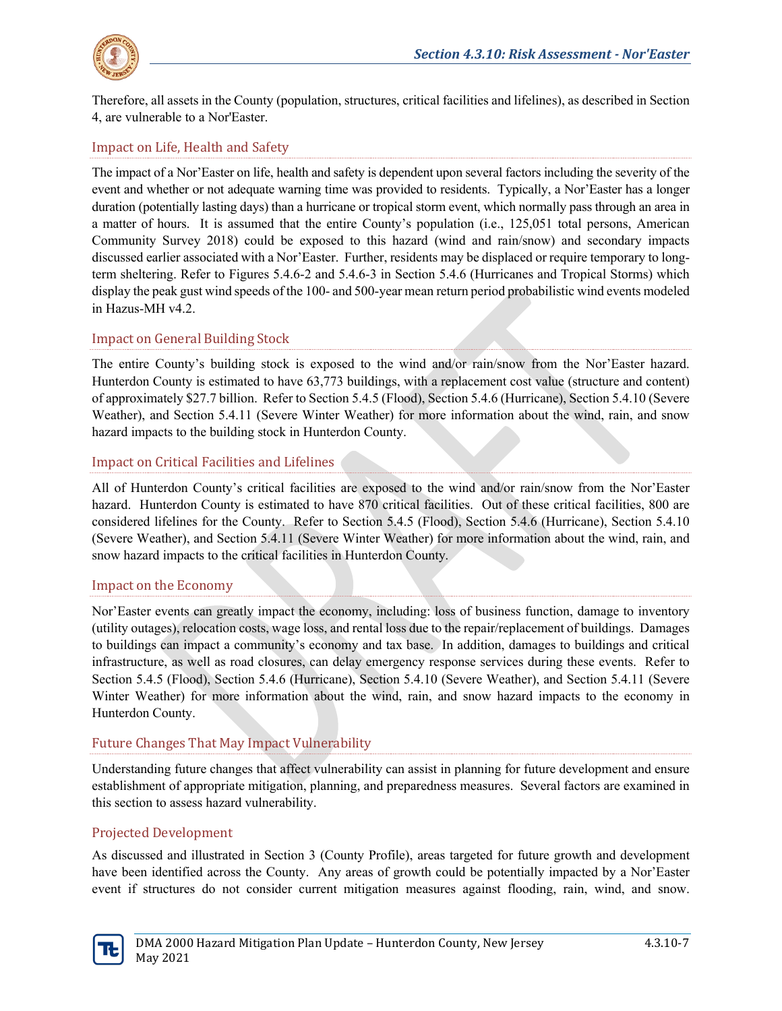

Therefore, all assets in the County (population, structures, critical facilities and lifelines), as described in Section 4, are vulnerable to a Nor'Easter.

# Impact on Life, Health and Safety

The impact of a Nor'Easter on life, health and safety is dependent upon several factors including the severity of the event and whether or not adequate warning time was provided to residents. Typically, a Nor'Easter has a longer duration (potentially lasting days) than a hurricane or tropical storm event, which normally pass through an area in a matter of hours. It is assumed that the entire County's population (i.e., 125,051 total persons, American Community Survey 2018) could be exposed to this hazard (wind and rain/snow) and secondary impacts discussed earlier associated with a Nor'Easter. Further, residents may be displaced or require temporary to longterm sheltering. Refer to Figures 5.4.6-2 and 5.4.6-3 in Section 5.4.6 (Hurricanes and Tropical Storms) which display the peak gust wind speeds of the 100- and 500-year mean return period probabilistic wind events modeled in Hazus-MH v4.2.

## Impact on General Building Stock

The entire County's building stock is exposed to the wind and/or rain/snow from the Nor'Easter hazard. Hunterdon County is estimated to have 63,773 buildings, with a replacement cost value (structure and content) of approximately \$27.7 billion. Refer to Section 5.4.5 (Flood), Section 5.4.6 (Hurricane), Section 5.4.10 (Severe Weather), and Section 5.4.11 (Severe Winter Weather) for more information about the wind, rain, and snow hazard impacts to the building stock in Hunterdon County.

#### Impact on Critical Facilities and Lifelines

All of Hunterdon County's critical facilities are exposed to the wind and/or rain/snow from the Nor'Easter hazard. Hunterdon County is estimated to have 870 critical facilities. Out of these critical facilities, 800 are considered lifelines for the County. Refer to Section 5.4.5 (Flood), Section 5.4.6 (Hurricane), Section 5.4.10 (Severe Weather), and Section 5.4.11 (Severe Winter Weather) for more information about the wind, rain, and snow hazard impacts to the critical facilities in Hunterdon County.

#### Impact on the Economy

Nor'Easter events can greatly impact the economy, including: loss of business function, damage to inventory (utility outages), relocation costs, wage loss, and rental loss due to the repair/replacement of buildings. Damages to buildings can impact a community's economy and tax base. In addition, damages to buildings and critical infrastructure, as well as road closures, can delay emergency response services during these events. Refer to Section 5.4.5 (Flood), Section 5.4.6 (Hurricane), Section 5.4.10 (Severe Weather), and Section 5.4.11 (Severe Winter Weather) for more information about the wind, rain, and snow hazard impacts to the economy in Hunterdon County.

#### Future Changes That May Impact Vulnerability

Understanding future changes that affect vulnerability can assist in planning for future development and ensure establishment of appropriate mitigation, planning, and preparedness measures. Several factors are examined in this section to assess hazard vulnerability.

#### Projected Development

As discussed and illustrated in Section 3 (County Profile), areas targeted for future growth and development have been identified across the County. Any areas of growth could be potentially impacted by a Nor'Easter event if structures do not consider current mitigation measures against flooding, rain, wind, and snow.